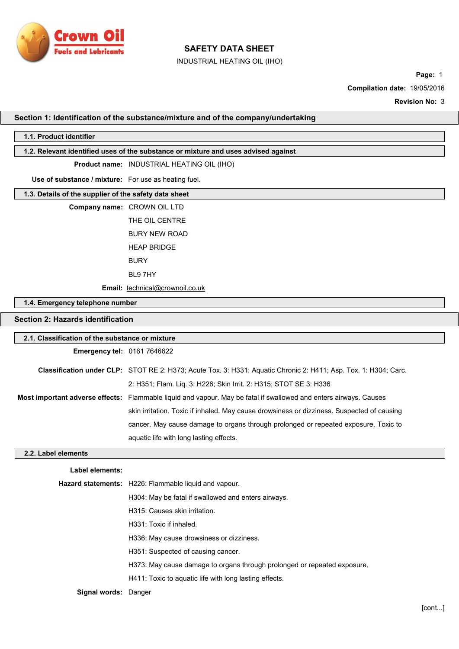

INDUSTRIAL HEATING OIL (IHO)

Page: 1

Compilation date: 19/05/2016

Revision No: 3

# Product name: INDUSTRIAL HEATING OIL (IHO) Use of substance / mixture: For use as heating fuel. Company name: CROWN OIL LTD THE OIL CENTRE BURY NEW ROAD HEAP BRIDGE **BURY** BL9 7HY Email: [technical@crownoil.co.uk](mailto:technical@crownoil.co.uk) Emergency tel: 0161 7646622 Classification under CLP: STOT RE 2: H373; Acute Tox. 3: H331; Aquatic Chronic 2: H411; Asp. Tox. 1: H304; Carc. 2: H351; Flam. Liq. 3: H226; Skin Irrit. 2: H315; STOT SE 3: H336 Most important adverse effects: Flammable liquid and vapour. May be fatal if swallowed and enters airways. Causes skin irritation. Toxic if inhaled. May cause drowsiness or dizziness. Suspected of causing cancer. May cause damage to organs through prolonged or repeated exposure. Toxic to aquatic life with long lasting effects. Label elements: Hazard statements: H226: Flammable liquid and vapour. H304: May be fatal if swallowed and enters airways. H315: Causes skin irritation. H331: Toxic if inhaled. H336: May cause drowsiness or dizziness. H351: Suspected of causing cancer. H373: May cause damage to organs through prolonged or repeated exposure. H411: Toxic to aquatic life with long lasting effects. 2.2. Label elements Section 1: Identification of the substance/mixture and of the company/undertaking 1.1. Product identifier 1.2. Relevant identified uses of the substance or mixture and uses advised against 1.3. Details of the supplier of the safety data sheet 1.4. Emergency telephone number Section 2: Hazards identification 2.1. Classification of the substance or mixture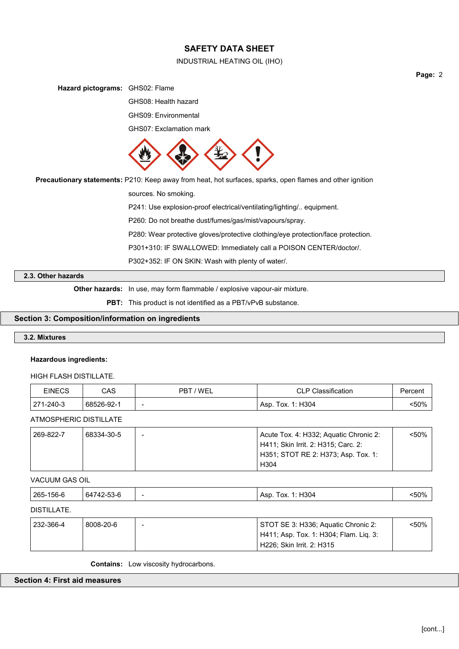### INDUSTRIAL HEATING OIL (IHO)

Page: 2

Hazard pictograms: GHS02: Flame GHS08: Health hazard

GHS09: Environmental

GHS07: Exclamation mark



Precautionary statements: P210: Keep away from heat, hot surfaces, sparks, open flames and other ignition

sources. No smoking.

P241: Use explosion-proof electrical/ventilating/lighting/.. equipment.

P260: Do not breathe dust/fumes/gas/mist/vapours/spray.

P280: Wear protective gloves/protective clothing/eye protection/face protection.

P301+310: IF SWALLOWED: Immediately call a POISON CENTER/doctor/.

P302+352: IF ON SKIN: Wash with plenty of water/.

# 2.3. Other hazards

Other hazards: In use, may form flammable / explosive vapour-air mixture.

PBT: This product is not identified as a PBT/vPvB substance.

# Section 3: Composition/information on ingredients

# 3.2. Mixtures

# Hazardous ingredients:

#### HIGH FLASH DISTILLATE.

| <b>EINECS</b> | CAS        | 'WEL<br>DR. | <b>CLP Classification</b> | Percen⊧ |
|---------------|------------|-------------|---------------------------|---------|
| 271-240-3     | 68526-92-1 | -           | 1: H304<br>Гох.<br>Asp.   | :50%    |

# ATMOSPHERIC DISTILLATE

| 269-822-7 | 68334-30-5 | - | Acute Tox. 4: H332; Aquatic Chronic 2: | $< 50\%$ |
|-----------|------------|---|----------------------------------------|----------|
|           |            |   | H411; Skin Irrit. 2: H315; Carc. 2:    |          |
|           |            |   | H351; STOT RE 2: H373; Asp. Tox. 1:    |          |
|           |            |   | H304                                   |          |

# VACUUM GAS OIL

| H304<br>265-1<br>Asc<br>'ox.<br>ĥД<br>Ibb-h<br>$ -$<br>$  -$<br>$\sim$ | 500/<br>ະວບ |
|------------------------------------------------------------------------|-------------|
|------------------------------------------------------------------------|-------------|

# DISTILLATE.

| 232-366-4 | 8008-20-6 | STOT SE 3: H336; Aquatic Chronic 2:    | <50% |
|-----------|-----------|----------------------------------------|------|
|           |           | H411; Asp. Tox. 1: H304; Flam. Liq. 3: |      |
|           |           | H226; Skin Irrit. 2: H315              |      |

Contains: Low viscosity hydrocarbons.

Section 4: First aid measures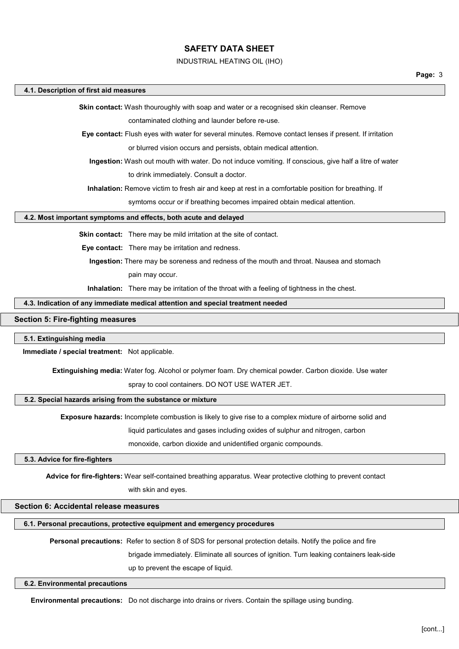#### INDUSTRIAL HEATING OIL (IHO)

#### 4.1. Description of first aid measures

Skin contact: Wash thouroughly with soap and water or a recognised skin cleanser. Remove

contaminated clothing and launder before re-use.

Eye contact: Flush eyes with water for several minutes. Remove contact lenses if present. If irritation

or blurred vision occurs and persists, obtain medical attention.

Ingestion: Wash out mouth with water. Do not induce vomiting. If conscious, give half a litre of water

to drink immediately. Consult a doctor.

Inhalation: Remove victim to fresh air and keep at rest in a comfortable position for breathing. If

symtoms occur or if breathing becomes impaired obtain medical attention.

#### 4.2. Most important symptoms and effects, both acute and delayed

Skin contact: There may be mild irritation at the site of contact.

Eye contact: There may be irritation and redness.

Ingestion: There may be soreness and redness of the mouth and throat. Nausea and stomach

pain may occur.

Inhalation: There may be irritation of the throat with a feeling of tightness in the chest.

# 4.3. Indication of any immediate medical attention and special treatment needed

#### Section 5: Fire-fighting measures

#### 5.1. Extinguishing media

Immediate / special treatment: Not applicable.

Extinguishing media: Water fog. Alcohol or polymer foam. Dry chemical powder. Carbon dioxide. Use water

spray to cool containers. DO NOT USE WATER JET.

#### 5.2. Special hazards arising from the substance or mixture

Exposure hazards: Incomplete combustion is likely to give rise to a complex mixture of airborne solid and

liquid particulates and gases including oxides of sulphur and nitrogen, carbon

monoxide, carbon dioxide and unidentified organic compounds.

# 5.3. Advice for fire-fighters

Advice for fire-fighters: Wear self-contained breathing apparatus. Wear protective clothing to prevent contact

with skin and eyes.

### Section 6: Accidental release measures

#### 6.1. Personal precautions, protective equipment and emergency procedures

Personal precautions: Refer to section 8 of SDS for personal protection details. Notify the police and fire

brigade immediately. Eliminate all sources of ignition. Turn leaking containers leak-side

up to prevent the escape of liquid.

#### 6.2. Environmental precautions

Environmental precautions: Do not discharge into drains or rivers. Contain the spillage using bunding.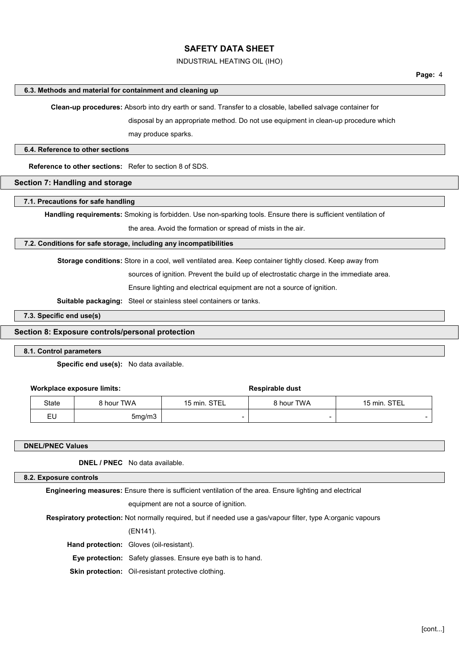# INDUSTRIAL HEATING OIL (IHO)

#### 6.3. Methods and material for containment and cleaning up

Clean-up procedures: Absorb into dry earth or sand. Transfer to a closable, labelled salvage container for

disposal by an appropriate method. Do not use equipment in clean-up procedure which

may produce sparks.

# 6.4. Reference to other sections

Reference to other sections: Refer to section 8 of SDS.

# Section 7: Handling and storage

### 7.1. Precautions for safe handling

Handling requirements: Smoking is forbidden. Use non-sparking tools. Ensure there is sufficient ventilation of

the area. Avoid the formation or spread of mists in the air.

#### 7.2. Conditions for safe storage, including any incompatibilities

Storage conditions: Store in a cool, well ventilated area. Keep container tightly closed. Keep away from

sources of ignition. Prevent the build up of electrostatic charge in the immediate area.

Ensure lighting and electrical equipment are not a source of ignition.

Suitable packaging: Steel or stainless steel containers or tanks.

# 7.3. Specific end use(s)

### Section 8: Exposure controls/personal protection

# 8.1. Control parameters

Specific end use(s): No data available.

#### Workplace exposure limits:  $\qquad \qquad$  Respirable dust

| State          | 8 hour TWA | <b>STEI</b><br>` min.<br>đ<br>◡ | ੇ hour TWA | STEL<br>15 min. |
|----------------|------------|---------------------------------|------------|-----------------|
| <b>.</b><br>∟ບ | 5mg/m3     |                                 | -          | -               |

#### DNEL/PNEC Values

DNEL / PNEC No data available.

#### 8.2. Exposure controls

Engineering measures: Ensure there is sufficient ventilation of the area. Ensure lighting and electrical

equipment are not a source of ignition.

Respiratory protection: Not normally required, but if needed use a gas/vapour filter, type A:organic vapours

(EN141).

Hand protection: Gloves (oil-resistant).

Eye protection: Safety glasses. Ensure eye bath is to hand.

Skin protection: Oil-resistant protective clothing.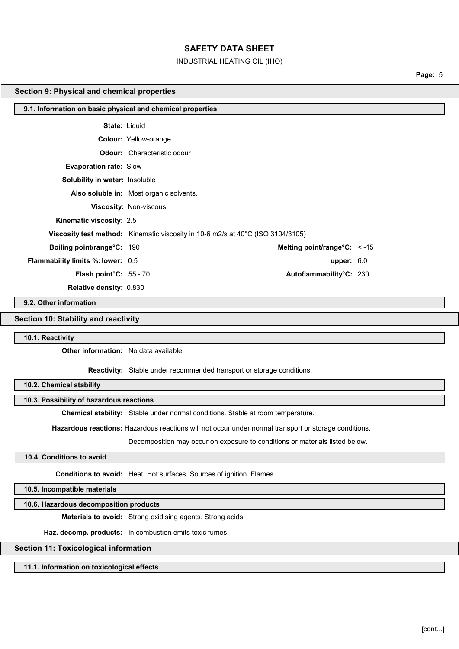#### INDUSTRIAL HEATING OIL (IHO)

### Page: 5

# State: Liquid Colour: Yellow-orange Odour: Characteristic odour Evaporation rate: Slow Solubility in water: Insoluble Also soluble in: Most organic solvents. Viscosity: Non-viscous Kinematic viscosity: 2.5 Viscosity test method: Kinematic viscosity in 10-6 m2/s at 40°C (ISO 3104/3105) Boiling point/range°C: 190 Melting point/range°C: <-15 **Flammability limits %: lower: 0.5 upper: 6.0** upper: 6.0 Flash point°C: 55 - 70 **Autoflammability°C: 230** Relative density: 0.830 Section 9: Physical and chemical properties 9.1. Information on basic physical and chemical properties 9.2. Other information

# Section 10: Stability and reactivity

# 10.1. Reactivity

Other information: No data available.

Reactivity: Stable under recommended transport or storage conditions.

10.2. Chemical stability

# 10.3. Possibility of hazardous reactions

Chemical stability: Stable under normal conditions. Stable at room temperature.

Hazardous reactions: Hazardous reactions will not occur under normal transport or storage conditions.

Decomposition may occur on exposure to conditions or materials listed below.

# 10.4. Conditions to avoid

Conditions to avoid: Heat. Hot surfaces. Sources of ignition. Flames.

# 10.5. Incompatible materials

# 10.6. Hazardous decomposition products

Materials to avoid: Strong oxidising agents. Strong acids.

Haz. decomp. products: In combustion emits toxic fumes.

# Section 11: Toxicological information

11.1. Information on toxicological effects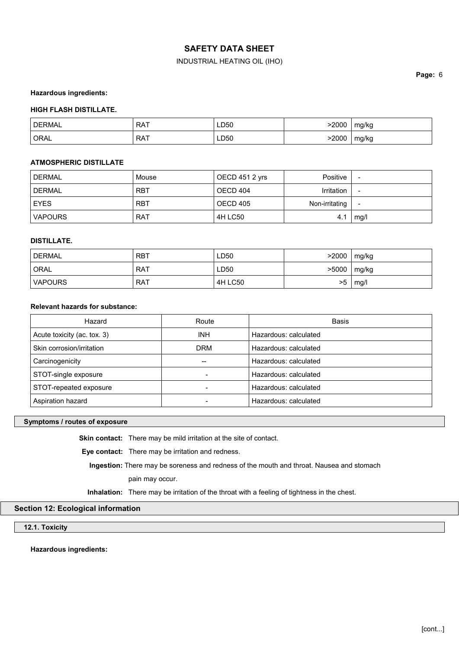# INDUSTRIAL HEATING OIL (IHO)

Page: 6

# Hazardous ingredients:

# HIGH FLASH DISTILLATE.

| <b>DERMAL</b> | DAT<br>KA. | LD50 | .2000 | mg/kg |
|---------------|------------|------|-------|-------|
| ORAL          | <b>RAT</b> | LD50 | 2000  | mg/kg |

# ATMOSPHERIC DISTILLATE

| <b>DERMAL</b>  | Mouse      | ∣ OECD 451 2 yrs | Positive          | -                        |
|----------------|------------|------------------|-------------------|--------------------------|
| <b>DERMAL</b>  | <b>RBT</b> | OECD 404         | <b>Irritation</b> | $\blacksquare$           |
| <b>EYES</b>    | <b>RBT</b> | OECD 405         | Non-irritating    | $\overline{\phantom{a}}$ |
| <b>VAPOURS</b> | <b>RAT</b> | 4H LC50          | 4.1               | mg/l                     |

# DISTILLATE.

| DERMAL         | <b>RBT</b> | LD50    | >2000 | mg/kg |
|----------------|------------|---------|-------|-------|
| <b>ORAL</b>    | <b>RAT</b> | LD50    | >5000 | mg/kg |
| <b>VAPOURS</b> | <b>RAT</b> | 4H LC50 | >5    | mg/l  |

# Relevant hazards for substance:

| Hazard                      | Route      | <b>Basis</b>          |
|-----------------------------|------------|-----------------------|
| Acute toxicity (ac. tox. 3) | <b>INH</b> | Hazardous: calculated |
| Skin corrosion/irritation   | <b>DRM</b> | Hazardous: calculated |
| Carcinogenicity             | --         | Hazardous: calculated |
| STOT-single exposure        |            | Hazardous: calculated |
| STOT-repeated exposure      |            | Hazardous: calculated |
| Aspiration hazard           |            | Hazardous: calculated |

# Symptoms / routes of exposure

Skin contact: There may be mild irritation at the site of contact.

Eye contact: There may be irritation and redness.

Ingestion: There may be soreness and redness of the mouth and throat. Nausea and stomach

pain may occur.

Inhalation: There may be irritation of the throat with a feeling of tightness in the chest.

# Section 12: Ecological information

12.1. Toxicity

Hazardous ingredients: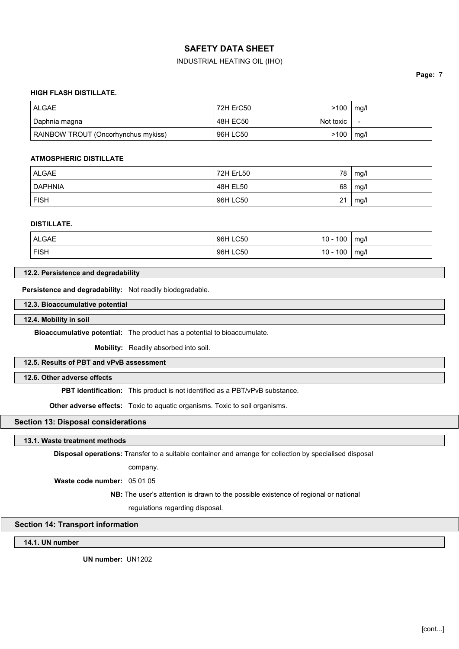# INDUSTRIAL HEATING OIL (IHO)

# Page: 7

#### HIGH FLASH DISTILLATE.

| ALGAE                               | 72H ErC50 | >100      | mq/l |
|-------------------------------------|-----------|-----------|------|
| Daphnia magna                       | 48H EC50  | Not toxic |      |
| RAINBOW TROUT (Oncorhynchus mykiss) | 96H LC50  | >100      | mg/l |

# ATMOSPHERIC DISTILLATE

| ALGAE          | 72H ErL50 | 78 | mg/l |
|----------------|-----------|----|------|
| <b>DAPHNIA</b> | 48H EL50  | 68 | mg/l |
| <b>FISH</b>    | 96H LC50  | 21 | mg/l |

#### DISTILLATE.

| ALGAE       | 96H LC50 | 100<br>$10 -$ | mg/l |
|-------------|----------|---------------|------|
| <b>FISH</b> | 96H LC50 | 100<br>$10 -$ | mg/l |

# 12.2. Persistence and degradability

Persistence and degradability: Not readily biodegradable.

#### 12.3. Bioaccumulative potential

# 12.4. Mobility in soil

Bioaccumulative potential: The product has a potential to bioaccumulate.

Mobility: Readily absorbed into soil.

# 12.5. Results of PBT and vPvB assessment

# 12.6. Other adverse effects

PBT identification: This product is not identified as a PBT/vPvB substance.

Other adverse effects: Toxic to aquatic organisms. Toxic to soil organisms.

# Section 13: Disposal considerations

### 13.1. Waste treatment methods

Disposal operations: Transfer to a suitable container and arrange for collection by specialised disposal

company.

Waste code number: 05 01 05

NB: The user's attention is drawn to the possible existence of regional or national

regulations regarding disposal.

#### Section 14: Transport information

14.1. UN number

UN number: UN1202